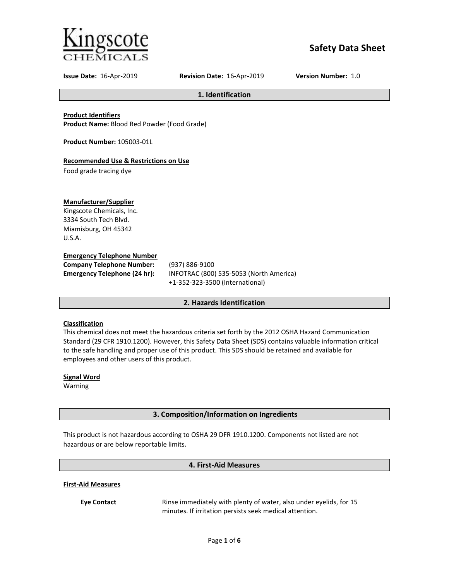

# **Safety Data Sheet**

**Issue Date:** 16-Apr-2019 **Revision Date:** 16-Apr-2019 **Version Number:** 1.0

**1. Identification**

**Product Identifiers**

**Product Name:** Blood Red Powder (Food Grade)

**Product Number:** 105003-01L

# **Recommended Use & Restrictions on Use**

Food grade tracing dye

## **Manufacturer/Supplier**

Kingscote Chemicals, Inc. 3334 South Tech Blvd. Miamisburg, OH 45342 U.S.A.

## **Emergency Telephone Number**

**Company Telephone Number:** (937) 886-9100

**Emergency Telephone (24 hr):** INFOTRAC (800) 535-5053 (North America) +1-352-323-3500 (International)

# **2. Hazards Identification**

## **Classification**

This chemical does not meet the hazardous criteria set forth by the 2012 OSHA Hazard Communication Standard (29 CFR 1910.1200). However, this Safety Data Sheet (SDS) contains valuable information critical to the safe handling and proper use of this product. This SDS should be retained and available for employees and other users of this product.

**Signal Word** Warning

# **3. Composition/Information on Ingredients**

This product is not hazardous according to OSHA 29 DFR 1910.1200. Components not listed are not hazardous or are below reportable limits.

# **4. First-Aid Measures**

**First-Aid Measures**

**Eye Contact** Rinse immediately with plenty of water, also under eyelids, for 15 minutes. If irritation persists seek medical attention.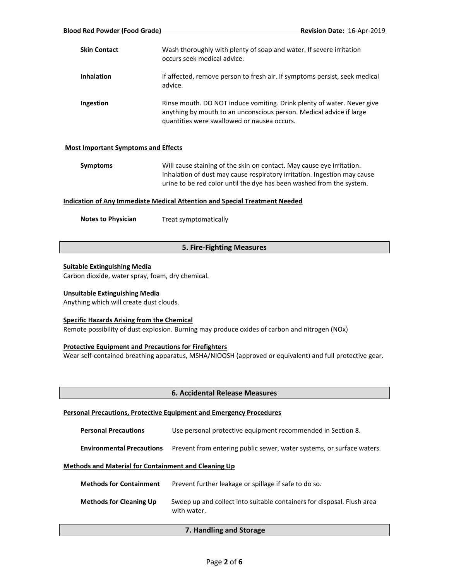| <b>Skin Contact</b> | Wash thoroughly with plenty of soap and water. If severe irritation<br>occurs seek medical advice.                                                                                           |
|---------------------|----------------------------------------------------------------------------------------------------------------------------------------------------------------------------------------------|
| <b>Inhalation</b>   | If affected, remove person to fresh air. If symptoms persist, seek medical<br>advice.                                                                                                        |
| <b>Ingestion</b>    | Rinse mouth. DO NOT induce vomiting. Drink plenty of water. Never give<br>anything by mouth to an unconscious person. Medical advice if large<br>quantities were swallowed or nausea occurs. |

### **Most Important Symptoms and Effects**

| Symptoms | Will cause staining of the skin on contact. May cause eye irritation.    |
|----------|--------------------------------------------------------------------------|
|          | Inhalation of dust may cause respiratory irritation. Ingestion may cause |
|          | urine to be red color until the dye has been washed from the system.     |

### **Indication of Any Immediate Medical Attention and Special Treatment Needed**

**Notes to Physician** Treat symptomatically

## **5. Fire-Fighting Measures**

## **Suitable Extinguishing Media**

Carbon dioxide, water spray, foam, dry chemical.

### **Unsuitable Extinguishing Media**

Anything which will create dust clouds.

### **Specific Hazards Arising from the Chemical**

Remote possibility of dust explosion. Burning may produce oxides of carbon and nitrogen (NOx)

## **Protective Equipment and Precautions for Firefighters**

Wear self-contained breathing apparatus, MSHA/NIOOSH (approved or equivalent) and full protective gear.

### **6. Accidental Release Measures**

#### **Personal Precautions, Protective Equipment and Emergency Procedures**

**Environmental Precautions** Prevent from entering public sewer, water systems, or surface waters.

### **Methods and Material for Containment and Cleaning Up**

| <b>Methods for Containment</b> | Prevent further leakage or spillage if safe to do so.                                 |
|--------------------------------|---------------------------------------------------------------------------------------|
| <b>Methods for Cleaning Up</b> | Sweep up and collect into suitable containers for disposal. Flush area<br>with water. |

# **7. Handling and Storage**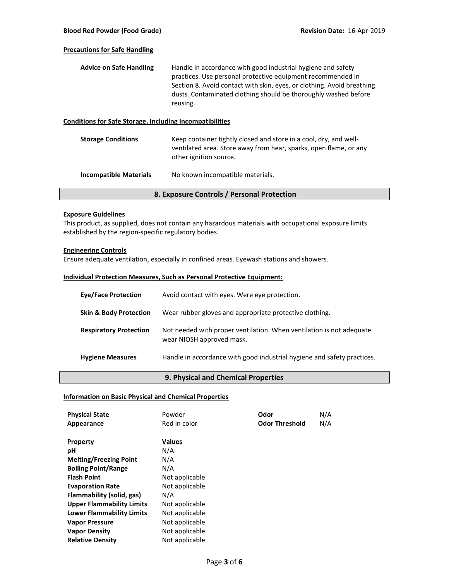## **Precautions for Safe Handling**

| <b>Advice on Safe Handling</b> | Handle in accordance with good industrial hygiene and safety           |
|--------------------------------|------------------------------------------------------------------------|
|                                | practices. Use personal protective equipment recommended in            |
|                                | Section 8. Avoid contact with skin, eyes, or clothing. Avoid breathing |
|                                | dusts. Contaminated clothing should be thoroughly washed before        |
|                                | reusing.                                                               |

### **Conditions for Safe Storage, Including Incompatibilities**

| ventilated area. Store away from hear, sparks, open flame, or any |
|-------------------------------------------------------------------|
|                                                                   |
|                                                                   |

**Incompatible Materials** No known incompatible materials.

## **8. Exposure Controls / Personal Protection**

### **Exposure Guidelines**

This product, as supplied, does not contain any hazardous materials with occupational exposure limits established by the region-specific regulatory bodies.

# **Engineering Controls**

Ensure adequate ventilation, especially in confined areas. Eyewash stations and showers.

### **Individual Protection Measures, Such as Personal Protective Equipment:**

| <b>Eye/Face Protection</b>        | Avoid contact with eyes. Were eye protection.                                                     |
|-----------------------------------|---------------------------------------------------------------------------------------------------|
| <b>Skin &amp; Body Protection</b> | Wear rubber gloves and appropriate protective clothing.                                           |
| <b>Respiratory Protection</b>     | Not needed with proper ventilation. When ventilation is not adequate<br>wear NIOSH approved mask. |
| <b>Hygiene Measures</b>           | Handle in accordance with good industrial hygiene and safety practices.                           |

### **9. Physical and Chemical Properties**

### **Information on Basic Physical and Chemical Properties**

| <b>Physical State</b>            | Powder         | Odor                  | N/A |
|----------------------------------|----------------|-----------------------|-----|
| Appearance                       | Red in color   | <b>Odor Threshold</b> | N/A |
|                                  |                |                       |     |
| <b>Property</b>                  | <b>Values</b>  |                       |     |
| рH                               | N/A            |                       |     |
| <b>Melting/Freezing Point</b>    | N/A            |                       |     |
| <b>Boiling Point/Range</b>       | N/A            |                       |     |
| <b>Flash Point</b>               | Not applicable |                       |     |
| <b>Evaporation Rate</b>          | Not applicable |                       |     |
| Flammability (solid, gas)        | N/A            |                       |     |
| <b>Upper Flammability Limits</b> | Not applicable |                       |     |
| <b>Lower Flammability Limits</b> | Not applicable |                       |     |
| <b>Vapor Pressure</b>            | Not applicable |                       |     |
| <b>Vapor Density</b>             | Not applicable |                       |     |
| <b>Relative Density</b>          | Not applicable |                       |     |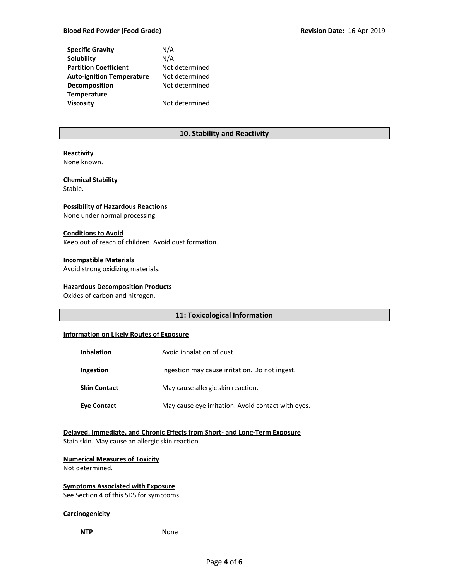| <b>Specific Gravity</b>          | N/A            |
|----------------------------------|----------------|
| Solubility                       | N/A            |
| <b>Partition Coefficient</b>     | Not determined |
| <b>Auto-ignition Temperature</b> | Not determined |
| Decomposition                    | Not determined |
| <b>Temperature</b>               |                |
| <b>Viscosity</b>                 | Not determined |

## **10. Stability and Reactivity**

# **Reactivity**

None known.

# **Chemical Stability**

Stable.

## **Possibility of Hazardous Reactions**

None under normal processing.

### **Conditions to Avoid**

Keep out of reach of children. Avoid dust formation.

### **Incompatible Materials**

Avoid strong oxidizing materials.

## **Hazardous Decomposition Products**

Oxides of carbon and nitrogen.

# **11: Toxicological Information**

### **Information on Likely Routes of Exposure**

| <b>Inhalation</b>   | Avoid inhalation of dust.                          |
|---------------------|----------------------------------------------------|
| Ingestion           | Ingestion may cause irritation. Do not ingest.     |
| <b>Skin Contact</b> | May cause allergic skin reaction.                  |
| <b>Eve Contact</b>  | May cause eye irritation. Avoid contact with eyes. |

## **Delayed, Immediate, and Chronic Effects from Short- and Long-Term Exposure** Stain skin. May cause an allergic skin reaction.

# **Numerical Measures of Toxicity**

Not determined.

# **Symptoms Associated with Exposure**

See Section 4 of this SDS for symptoms.

## **Carcinogenicity**

**NTP** None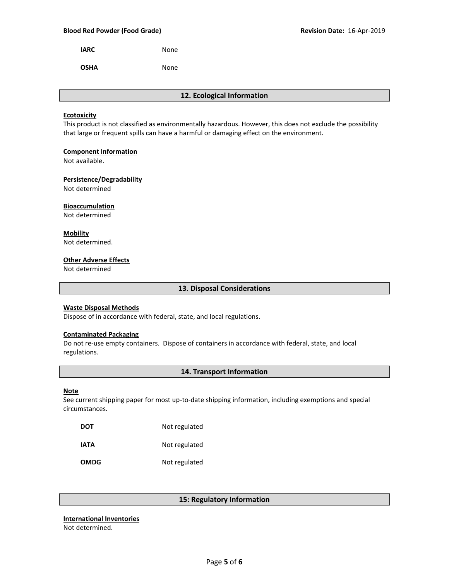**IARC** None

**OSHA** None

**12. Ecological Information**

### **Ecotoxicity**

This product is not classified as environmentally hazardous. However, this does not exclude the possibility that large or frequent spills can have a harmful or damaging effect on the environment.

### **Component Information**

Not available.

### **Persistence/Degradability**

Not determined

## **Bioaccumulation**

Not determined

**Mobility** Not determined.

# **Other Adverse Effects**

Not determined

**13. Disposal Considerations**

### **Waste Disposal Methods**

Dispose of in accordance with federal, state, and local regulations.

### **Contaminated Packaging**

Do not re-use empty containers.Dispose of containers in accordance with federal, state, and local regulations.

## **14. Transport Information**

### **Note**

See current shipping paper for most up-to-date shipping information, including exemptions and special circumstances.

| DOT         | Not regulated |
|-------------|---------------|
| IATA        | Not regulated |
| <b>OMDG</b> | Not regulated |

# **15: Regulatory Information**

#### **International Inventories** Not determined.